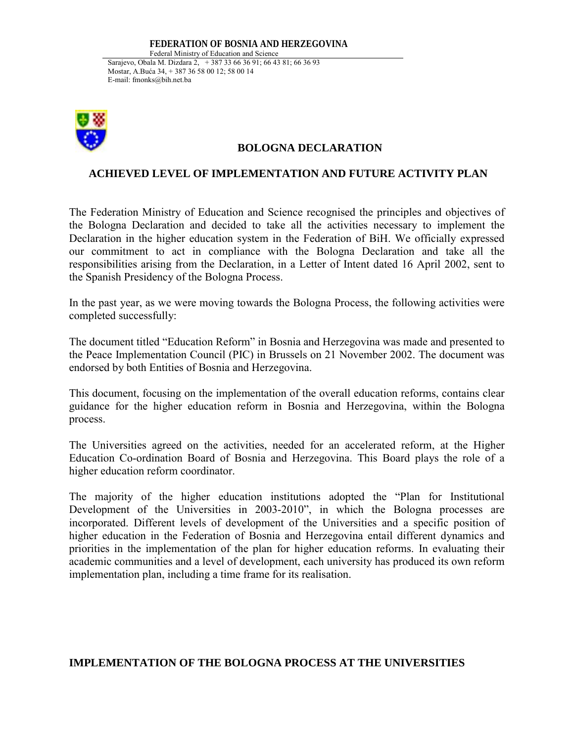## **FEDERATION OF BOSNIA AND HERZEGOVINA**

Federal Ministry of Education and Science Sarajevo, Obala M. Dizdara 2, + 387 33 66 36 91; 66 43 81; 66 36 93 Mostar, A.Buća 34, + 387 36 58 00 12; 58 00 14 E-mail: fmonks@bih.net.ba



## **BOLOGNA DECLARATION**

## **ACHIEVED LEVEL OF IMPLEMENTATION AND FUTURE ACTIVITY PLAN**

The Federation Ministry of Education and Science recognised the principles and objectives of the Bologna Declaration and decided to take all the activities necessary to implement the Declaration in the higher education system in the Federation of BiH. We officially expressed our commitment to act in compliance with the Bologna Declaration and take all the responsibilities arising from the Declaration, in a Letter of Intent dated 16 April 2002, sent to the Spanish Presidency of the Bologna Process.

In the past year, as we were moving towards the Bologna Process, the following activities were completed successfully:

The document titled "Education Reform" in Bosnia and Herzegovina was made and presented to the Peace Implementation Council (PIC) in Brussels on 21 November 2002. The document was endorsed by both Entities of Bosnia and Herzegovina.

This document, focusing on the implementation of the overall education reforms, contains clear guidance for the higher education reform in Bosnia and Herzegovina, within the Bologna process.

The Universities agreed on the activities, needed for an accelerated reform, at the Higher Education Co-ordination Board of Bosnia and Herzegovina. This Board plays the role of a higher education reform coordinator.

The majority of the higher education institutions adopted the "Plan for Institutional Development of the Universities in 2003-2010", in which the Bologna processes are incorporated. Different levels of development of the Universities and a specific position of higher education in the Federation of Bosnia and Herzegovina entail different dynamics and priorities in the implementation of the plan for higher education reforms. In evaluating their academic communities and a level of development, each university has produced its own reform implementation plan, including a time frame for its realisation.

## **IMPLEMENTATION OF THE BOLOGNA PROCESS AT THE UNIVERSITIES**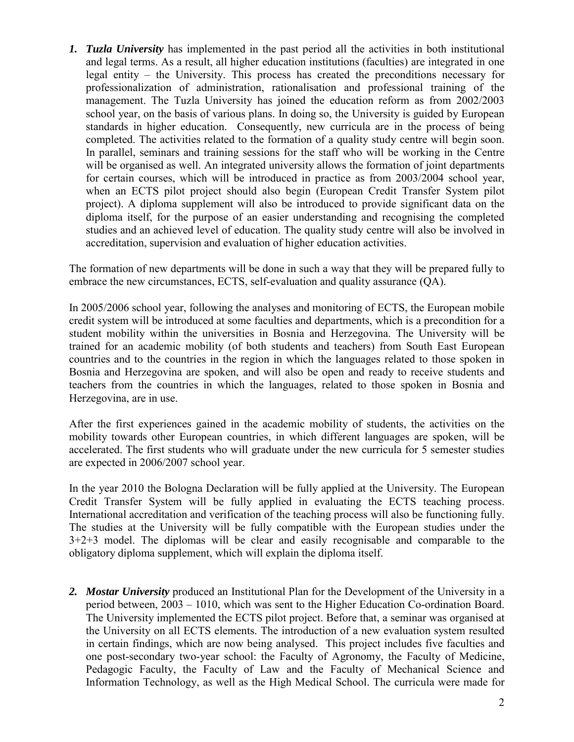*1. Tuzla University* has implemented in the past period all the activities in both institutional and legal terms. As a result, all higher education institutions (faculties) are integrated in one legal entity  $-$  the University. This process has created the preconditions necessary for professionalization of administration, rationalisation and professional training of the management. The Tuzla University has joined the education reform as from 2002/2003 school year, on the basis of various plans. In doing so, the University is guided by European standards in higher education. Consequently, new curricula are in the process of being completed. The activities related to the formation of a quality study centre will begin soon. In parallel, seminars and training sessions for the staff who will be working in the Centre will be organised as well. An integrated university allows the formation of joint departments for certain courses, which will be introduced in practice as from 2003/2004 school year, when an ECTS pilot project should also begin (European Credit Transfer System pilot project). A diploma supplement will also be introduced to provide significant data on the diploma itself, for the purpose of an easier understanding and recognising the completed studies and an achieved level of education. The quality study centre will also be involved in accreditation, supervision and evaluation of higher education activities.

The formation of new departments will be done in such a way that they will be prepared fully to embrace the new circumstances, ECTS, self-evaluation and quality assurance (QA).

In 2005/2006 school year, following the analyses and monitoring of ECTS, the European mobile credit system will be introduced at some faculties and departments, which is a precondition for a student mobility within the universities in Bosnia and Herzegovina. The University will be trained for an academic mobility (of both students and teachers) from South East European countries and to the countries in the region in which the languages related to those spoken in Bosnia and Herzegovina are spoken, and will also be open and ready to receive students and teachers from the countries in which the languages, related to those spoken in Bosnia and Herzegovina, are in use.

After the first experiences gained in the academic mobility of students, the activities on the mobility towards other European countries, in which different languages are spoken, will be accelerated. The first students who will graduate under the new curricula for 5 semester studies are expected in 2006/2007 school year.

In the year 2010 the Bologna Declaration will be fully applied at the University. The European Credit Transfer System will be fully applied in evaluating the ECTS teaching process. International accreditation and verification of the teaching process will also be functioning fully. The studies at the University will be fully compatible with the European studies under the 3+2+3 model. The diplomas will be clear and easily recognisable and comparable to the obligatory diploma supplement, which will explain the diploma itself.

*2. Mostar University* produced an Institutional Plan for the Development of the University in a period between,  $2003 - 1010$ , which was sent to the Higher Education Co-ordination Board. The University implemented the ECTS pilot project. Before that, a seminar was organised at the University on all ECTS elements. The introduction of a new evaluation system resulted in certain findings, which are now being analysed. This project includes five faculties and one post-secondary two-year school: the Faculty of Agronomy, the Faculty of Medicine, Pedagogic Faculty, the Faculty of Law and the Faculty of Mechanical Science and Information Technology, as well as the High Medical School. The curricula were made for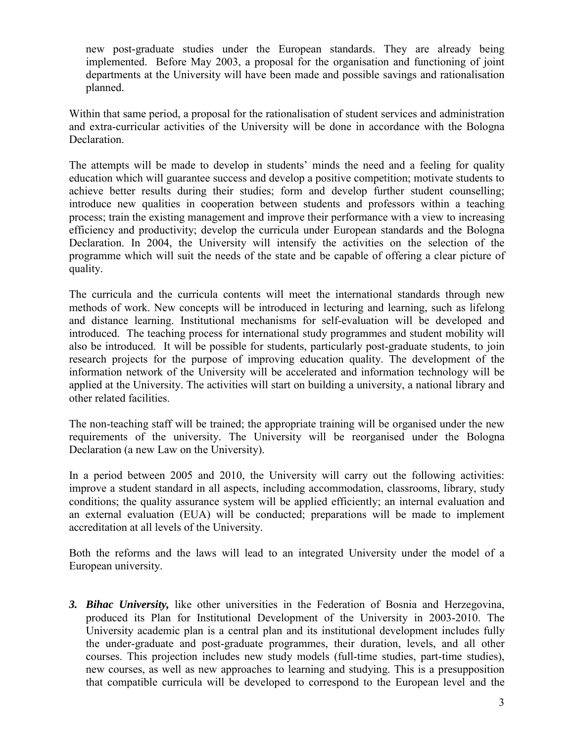new post-graduate studies under the European standards. They are already being implemented. Before May 2003, a proposal for the organisation and functioning of joint departments at the University will have been made and possible savings and rationalisation planned.

Within that same period, a proposal for the rationalisation of student services and administration and extra-curricular activities of the University will be done in accordance with the Bologna Declaration.

The attempts will be made to develop in students' minds the need and a feeling for quality education which will guarantee success and develop a positive competition; motivate students to achieve better results during their studies; form and develop further student counselling; introduce new qualities in cooperation between students and professors within a teaching process; train the existing management and improve their performance with a view to increasing efficiency and productivity; develop the curricula under European standards and the Bologna Declaration. In 2004, the University will intensify the activities on the selection of the programme which will suit the needs of the state and be capable of offering a clear picture of quality.

The curricula and the curricula contents will meet the international standards through new methods of work. New concepts will be introduced in lecturing and learning, such as lifelong and distance learning. Institutional mechanisms for self-evaluation will be developed and introduced. The teaching process for international study programmes and student mobility will also be introduced. It will be possible for students, particularly post-graduate students, to join research projects for the purpose of improving education quality. The development of the information network of the University will be accelerated and information technology will be applied at the University. The activities will start on building a university, a national library and other related facilities.

The non-teaching staff will be trained; the appropriate training will be organised under the new requirements of the university. The University will be reorganised under the Bologna Declaration (a new Law on the University).

In a period between 2005 and 2010, the University will carry out the following activities: improve a student standard in all aspects, including accommodation, classrooms, library, study conditions; the quality assurance system will be applied efficiently; an internal evaluation and an external evaluation (EUA) will be conducted; preparations will be made to implement accreditation at all levels of the University.

Both the reforms and the laws will lead to an integrated University under the model of a European university.

*3. Bihac University,* like other universities in the Federation of Bosnia and Herzegovina, produced its Plan for Institutional Development of the University in 2003-2010. The University academic plan is a central plan and its institutional development includes fully the under-graduate and post-graduate programmes, their duration, levels, and all other courses. This projection includes new study models (full-time studies, part-time studies), new courses, as well as new approaches to learning and studying. This is a presupposition that compatible curricula will be developed to correspond to the European level and the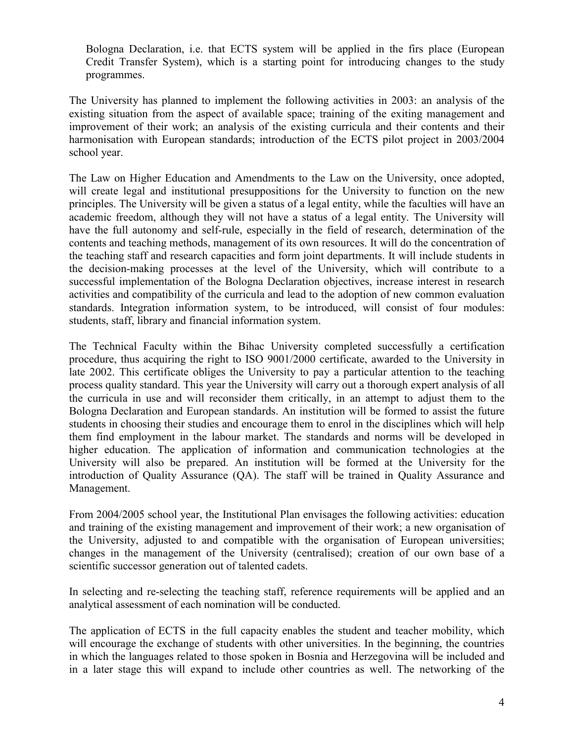Bologna Declaration, i.e. that ECTS system will be applied in the firs place (European Credit Transfer System), which is a starting point for introducing changes to the study programmes.

The University has planned to implement the following activities in 2003: an analysis of the existing situation from the aspect of available space; training of the exiting management and improvement of their work; an analysis of the existing curricula and their contents and their harmonisation with European standards; introduction of the ECTS pilot project in 2003/2004 school year.

The Law on Higher Education and Amendments to the Law on the University, once adopted, will create legal and institutional presuppositions for the University to function on the new principles. The University will be given a status of a legal entity, while the faculties will have an academic freedom, although they will not have a status of a legal entity. The University will have the full autonomy and self-rule, especially in the field of research, determination of the contents and teaching methods, management of its own resources. It will do the concentration of the teaching staff and research capacities and form joint departments. It will include students in the decision-making processes at the level of the University, which will contribute to a successful implementation of the Bologna Declaration objectives, increase interest in research activities and compatibility of the curricula and lead to the adoption of new common evaluation standards. Integration information system, to be introduced, will consist of four modules: students, staff, library and financial information system.

The Technical Faculty within the Bihac University completed successfully a certification procedure, thus acquiring the right to ISO 9001/2000 certificate, awarded to the University in late 2002. This certificate obliges the University to pay a particular attention to the teaching process quality standard. This year the University will carry out a thorough expert analysis of all the curricula in use and will reconsider them critically, in an attempt to adjust them to the Bologna Declaration and European standards. An institution will be formed to assist the future students in choosing their studies and encourage them to enrol in the disciplines which will help them find employment in the labour market. The standards and norms will be developed in higher education. The application of information and communication technologies at the University will also be prepared. An institution will be formed at the University for the introduction of Quality Assurance (QA). The staff will be trained in Quality Assurance and Management.

From 2004/2005 school year, the Institutional Plan envisages the following activities: education and training of the existing management and improvement of their work; a new organisation of the University, adjusted to and compatible with the organisation of European universities; changes in the management of the University (centralised); creation of our own base of a scientific successor generation out of talented cadets.

In selecting and re-selecting the teaching staff, reference requirements will be applied and an analytical assessment of each nomination will be conducted.

The application of ECTS in the full capacity enables the student and teacher mobility, which will encourage the exchange of students with other universities. In the beginning, the countries in which the languages related to those spoken in Bosnia and Herzegovina will be included and in a later stage this will expand to include other countries as well. The networking of the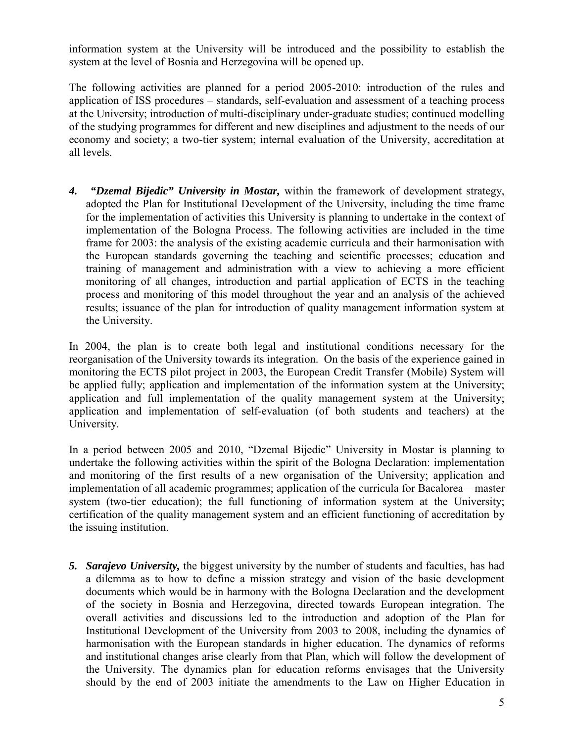information system at the University will be introduced and the possibility to establish the system at the level of Bosnia and Herzegovina will be opened up.

The following activities are planned for a period 2005-2010: introduction of the rules and application of ISS procedures – standards, self-evaluation and assessment of a teaching process at the University; introduction of multi-disciplinary under-graduate studies; continued modelling of the studying programmes for different and new disciplines and adjustment to the needs of our economy and society; a two-tier system; internal evaluation of the University, accreditation at all levels.

*4. "Dzemal Bijedic" University in Mostar,* within the framework of development strategy, adopted the Plan for Institutional Development of the University, including the time frame for the implementation of activities this University is planning to undertake in the context of implementation of the Bologna Process. The following activities are included in the time frame for 2003: the analysis of the existing academic curricula and their harmonisation with the European standards governing the teaching and scientific processes; education and training of management and administration with a view to achieving a more efficient monitoring of all changes, introduction and partial application of ECTS in the teaching process and monitoring of this model throughout the year and an analysis of the achieved results; issuance of the plan for introduction of quality management information system at the University.

In 2004, the plan is to create both legal and institutional conditions necessary for the reorganisation of the University towards its integration. On the basis of the experience gained in monitoring the ECTS pilot project in 2003, the European Credit Transfer (Mobile) System will be applied fully; application and implementation of the information system at the University; application and full implementation of the quality management system at the University; application and implementation of self-evaluation (of both students and teachers) at the University.

In a period between 2005 and 2010, "Dzemal Bijedic" University in Mostar is planning to undertake the following activities within the spirit of the Bologna Declaration: implementation and monitoring of the first results of a new organisation of the University; application and implementation of all academic programmes; application of the curricula for Bacalorea – master system (two-tier education); the full functioning of information system at the University; certification of the quality management system and an efficient functioning of accreditation by the issuing institution.

*5. Sarajevo University,* the biggest university by the number of students and faculties, has had a dilemma as to how to define a mission strategy and vision of the basic development documents which would be in harmony with the Bologna Declaration and the development of the society in Bosnia and Herzegovina, directed towards European integration. The overall activities and discussions led to the introduction and adoption of the Plan for Institutional Development of the University from 2003 to 2008, including the dynamics of harmonisation with the European standards in higher education. The dynamics of reforms and institutional changes arise clearly from that Plan, which will follow the development of the University. The dynamics plan for education reforms envisages that the University should by the end of 2003 initiate the amendments to the Law on Higher Education in